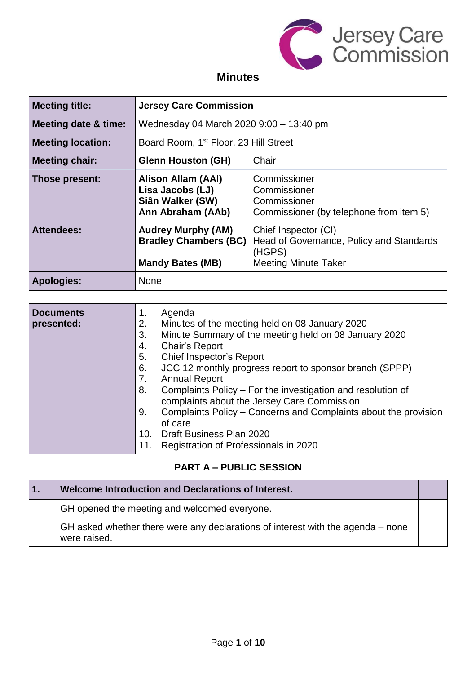

# **Minutes**

| <b>Meeting title:</b>                                                                                                                                                      | <b>Jersey Care Commission</b>                                                   |                                                                                         |  |
|----------------------------------------------------------------------------------------------------------------------------------------------------------------------------|---------------------------------------------------------------------------------|-----------------------------------------------------------------------------------------|--|
| <b>Meeting date &amp; time:</b>                                                                                                                                            | Wednesday 04 March 2020 9:00 - 13:40 pm                                         |                                                                                         |  |
| <b>Meeting location:</b>                                                                                                                                                   | Board Room, 1 <sup>st</sup> Floor, 23 Hill Street                               |                                                                                         |  |
| <b>Meeting chair:</b>                                                                                                                                                      | <b>Glenn Houston (GH)</b><br>Chair                                              |                                                                                         |  |
| Those present:                                                                                                                                                             | Alison Allam (AAI)<br>Lisa Jacobs (LJ)<br>Siân Walker (SW)<br>Ann Abraham (AAb) | Commissioner<br>Commissioner<br>Commissioner<br>Commissioner (by telephone from item 5) |  |
| <b>Attendees:</b><br><b>Audrey Murphy (AM)</b><br>Chief Inspector (CI)<br><b>Bradley Chambers (BC)</b><br>(HGPS)<br><b>Mandy Bates (MB)</b><br><b>Meeting Minute Taker</b> |                                                                                 | Head of Governance, Policy and Standards                                                |  |
| Apologies:                                                                                                                                                                 | <b>None</b>                                                                     |                                                                                         |  |

| <b>Documents</b> | Agenda<br>1.                                                          |
|------------------|-----------------------------------------------------------------------|
| presented:       | Minutes of the meeting held on 08 January 2020<br>2.                  |
|                  | Minute Summary of the meeting held on 08 January 2020<br>3.           |
|                  | Chair's Report<br>4.                                                  |
|                  | 5.<br>Chief Inspector's Report                                        |
|                  | JCC 12 monthly progress report to sponsor branch (SPPP)<br>6.         |
|                  | <b>Annual Report</b><br>7.                                            |
|                  | Complaints Policy – For the investigation and resolution of<br>8.     |
|                  | complaints about the Jersey Care Commission                           |
|                  | Complaints Policy – Concerns and Complaints about the provision<br>9. |
|                  | of care                                                               |
|                  | Draft Business Plan 2020<br>10.                                       |
|                  | Registration of Professionals in 2020<br>11.                          |

## **PART A – PUBLIC SESSION**

| $\overline{1}$ . | Welcome Introduction and Declarations of Interest.                                              |  |
|------------------|-------------------------------------------------------------------------------------------------|--|
|                  | GH opened the meeting and welcomed everyone.                                                    |  |
|                  | GH asked whether there were any declarations of interest with the agenda – none<br>were raised. |  |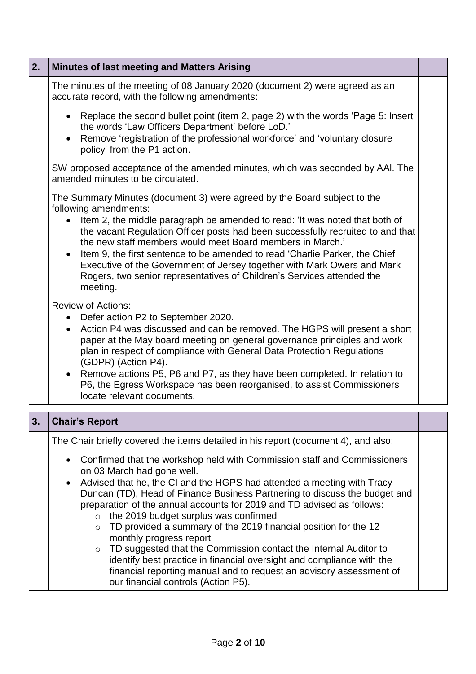| 2. | <b>Minutes of last meeting and Matters Arising</b>                                                                                                                                                                                                                                                                                                                                                                                                                          |  |
|----|-----------------------------------------------------------------------------------------------------------------------------------------------------------------------------------------------------------------------------------------------------------------------------------------------------------------------------------------------------------------------------------------------------------------------------------------------------------------------------|--|
|    | The minutes of the meeting of 08 January 2020 (document 2) were agreed as an<br>accurate record, with the following amendments:                                                                                                                                                                                                                                                                                                                                             |  |
|    | Replace the second bullet point (item 2, page 2) with the words 'Page 5: Insert<br>$\bullet$<br>the words 'Law Officers Department' before LoD.'<br>Remove 'registration of the professional workforce' and 'voluntary closure<br>$\bullet$<br>policy' from the P1 action.                                                                                                                                                                                                  |  |
|    | SW proposed acceptance of the amended minutes, which was seconded by AAI. The<br>amended minutes to be circulated.                                                                                                                                                                                                                                                                                                                                                          |  |
|    | The Summary Minutes (document 3) were agreed by the Board subject to the<br>following amendments:                                                                                                                                                                                                                                                                                                                                                                           |  |
|    | Item 2, the middle paragraph be amended to read: 'It was noted that both of<br>the vacant Regulation Officer posts had been successfully recruited to and that<br>the new staff members would meet Board members in March.'<br>Item 9, the first sentence to be amended to read 'Charlie Parker, the Chief<br>Executive of the Government of Jersey together with Mark Owers and Mark<br>Rogers, two senior representatives of Children's Services attended the<br>meeting. |  |
|    | <b>Review of Actions:</b><br>Defer action P2 to September 2020.<br>$\bullet$                                                                                                                                                                                                                                                                                                                                                                                                |  |
|    | Action P4 was discussed and can be removed. The HGPS will present a short<br>$\bullet$<br>paper at the May board meeting on general governance principles and work<br>plan in respect of compliance with General Data Protection Regulations<br>(GDPR) (Action P4).                                                                                                                                                                                                         |  |
|    | • Remove actions P5, P6 and P7, as they have been completed. In relation to<br>P6, the Egress Workspace has been reorganised, to assist Commissioners<br>locate relevant documents.                                                                                                                                                                                                                                                                                         |  |
| 3. | <b>Chair's Report</b>                                                                                                                                                                                                                                                                                                                                                                                                                                                       |  |

The Chair briefly covered the items detailed in his report (document 4), and also:

- Confirmed that the workshop held with Commission staff and Commissioners on 03 March had gone well.
- Advised that he, the CI and the HGPS had attended a meeting with Tracy Duncan (TD), Head of Finance Business Partnering to discuss the budget and preparation of the annual accounts for 2019 and TD advised as follows:
	- o the 2019 budget surplus was confirmed
	- o TD provided a summary of the 2019 financial position for the 12 monthly progress report
	- o TD suggested that the Commission contact the Internal Auditor to identify best practice in financial oversight and compliance with the financial reporting manual and to request an advisory assessment of our financial controls (Action P5).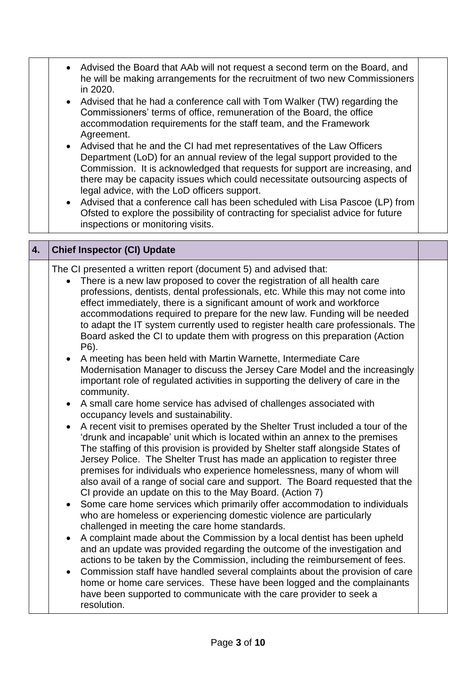|    | • Advised the Board that AAb will not request a second term on the Board, and<br>he will be making arrangements for the recruitment of two new Commissioners<br>in 2020.<br>Advised that he had a conference call with Tom Walker (TW) regarding the<br>$\bullet$<br>Commissioners' terms of office, remuneration of the Board, the office<br>accommodation requirements for the staff team, and the Framework<br>Agreement.<br>Advised that he and the CI had met representatives of the Law Officers<br>$\bullet$<br>Department (LoD) for an annual review of the legal support provided to the<br>Commission. It is acknowledged that requests for support are increasing, and<br>there may be capacity issues which could necessitate outsourcing aspects of<br>legal advice, with the LoD officers support.<br>Advised that a conference call has been scheduled with Lisa Pascoe (LP) from<br>$\bullet$<br>Ofsted to explore the possibility of contracting for specialist advice for future<br>inspections or monitoring visits.                                                                                                                                                                                                                                                                                                                                                                                                                                                                                                                                                                                                                                                                                                                                                                                                                                                                                                                                                                                                                                                                                                                                                                                                                             |  |
|----|---------------------------------------------------------------------------------------------------------------------------------------------------------------------------------------------------------------------------------------------------------------------------------------------------------------------------------------------------------------------------------------------------------------------------------------------------------------------------------------------------------------------------------------------------------------------------------------------------------------------------------------------------------------------------------------------------------------------------------------------------------------------------------------------------------------------------------------------------------------------------------------------------------------------------------------------------------------------------------------------------------------------------------------------------------------------------------------------------------------------------------------------------------------------------------------------------------------------------------------------------------------------------------------------------------------------------------------------------------------------------------------------------------------------------------------------------------------------------------------------------------------------------------------------------------------------------------------------------------------------------------------------------------------------------------------------------------------------------------------------------------------------------------------------------------------------------------------------------------------------------------------------------------------------------------------------------------------------------------------------------------------------------------------------------------------------------------------------------------------------------------------------------------------------------------------------------------------------------------------------------------------------|--|
| 4. | <b>Chief Inspector (CI) Update</b>                                                                                                                                                                                                                                                                                                                                                                                                                                                                                                                                                                                                                                                                                                                                                                                                                                                                                                                                                                                                                                                                                                                                                                                                                                                                                                                                                                                                                                                                                                                                                                                                                                                                                                                                                                                                                                                                                                                                                                                                                                                                                                                                                                                                                                  |  |
|    | The CI presented a written report (document 5) and advised that:<br>There is a new law proposed to cover the registration of all health care<br>$\bullet$<br>professions, dentists, dental professionals, etc. While this may not come into<br>effect immediately, there is a significant amount of work and workforce<br>accommodations required to prepare for the new law. Funding will be needed<br>to adapt the IT system currently used to register health care professionals. The<br>Board asked the CI to update them with progress on this preparation (Action<br>P6).<br>A meeting has been held with Martin Warnette, Intermediate Care<br>$\bullet$<br>Modernisation Manager to discuss the Jersey Care Model and the increasingly<br>important role of regulated activities in supporting the delivery of care in the<br>community.<br>A small care home service has advised of challenges associated with<br>occupancy levels and sustainability.<br>A recent visit to premises operated by the Shelter Trust included a tour of the<br>$\bullet$<br>'drunk and incapable' unit which is located within an annex to the premises<br>The staffing of this provision is provided by Shelter staff alongside States of<br>Jersey Police. The Shelter Trust has made an application to register three<br>premises for individuals who experience homelessness, many of whom will<br>also avail of a range of social care and support. The Board requested that the<br>CI provide an update on this to the May Board. (Action 7)<br>Some care home services which primarily offer accommodation to individuals<br>$\bullet$<br>who are homeless or experiencing domestic violence are particularly<br>challenged in meeting the care home standards.<br>A complaint made about the Commission by a local dentist has been upheld<br>$\bullet$<br>and an update was provided regarding the outcome of the investigation and<br>actions to be taken by the Commission, including the reimbursement of fees.<br>Commission staff have handled several complaints about the provision of care<br>home or home care services. These have been logged and the complainants<br>have been supported to communicate with the care provider to seek a<br>resolution. |  |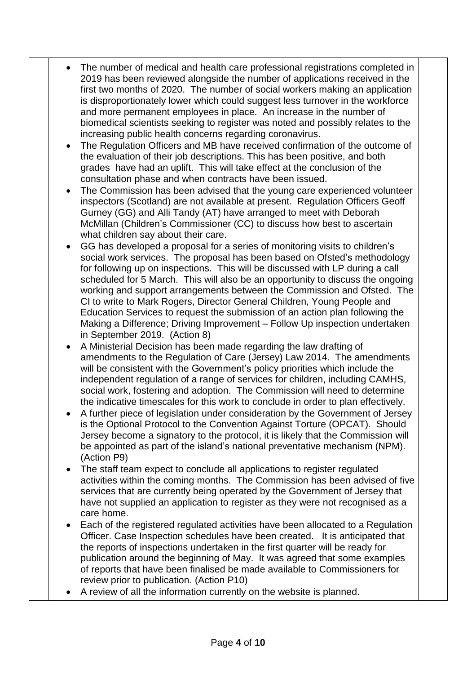- The number of medical and health care professional registrations completed in 2019 has been reviewed alongside the number of applications received in the first two months of 2020. The number of social workers making an application is disproportionately lower which could suggest less turnover in the workforce and more permanent employees in place. An increase in the number of biomedical scientists seeking to register was noted and possibly relates to the increasing public health concerns regarding coronavirus.
	- The Regulation Officers and MB have received confirmation of the outcome of the evaluation of their job descriptions. This has been positive, and both grades have had an uplift. This will take effect at the conclusion of the consultation phase and when contracts have been issued.
- The Commission has been advised that the young care experienced volunteer inspectors (Scotland) are not available at present. Regulation Officers Geoff Gurney (GG) and Alli Tandy (AT) have arranged to meet with Deborah McMillan (Children's Commissioner (CC) to discuss how best to ascertain what children say about their care.
- GG has developed a proposal for a series of monitoring visits to children's social work services. The proposal has been based on Ofsted's methodology for following up on inspections. This will be discussed with LP during a call scheduled for 5 March. This will also be an opportunity to discuss the ongoing working and support arrangements between the Commission and Ofsted. The CI to write to Mark Rogers, Director General Children, Young People and Education Services to request the submission of an action plan following the Making a Difference; Driving Improvement – Follow Up inspection undertaken in September 2019. (Action 8)
- A Ministerial Decision has been made regarding the law drafting of amendments to the Regulation of Care (Jersey) Law 2014. The amendments will be consistent with the Government's policy priorities which include the independent regulation of a range of services for children, including CAMHS, social work, fostering and adoption. The Commission will need to determine the indicative timescales for this work to conclude in order to plan effectively.
- A further piece of legislation under consideration by the Government of Jersey is the Optional Protocol to the Convention Against Torture (OPCAT). Should Jersey become a signatory to the protocol, it is likely that the Commission will be appointed as part of the island's national preventative mechanism (NPM). (Action P9)
- The staff team expect to conclude all applications to register regulated activities within the coming months. The Commission has been advised of five services that are currently being operated by the Government of Jersey that have not supplied an application to register as they were not recognised as a care home.
- Each of the registered regulated activities have been allocated to a Regulation Officer. Case Inspection schedules have been created. It is anticipated that the reports of inspections undertaken in the first quarter will be ready for publication around the beginning of May. It was agreed that some examples of reports that have been finalised be made available to Commissioners for review prior to publication. (Action P10)
- A review of all the information currently on the website is planned.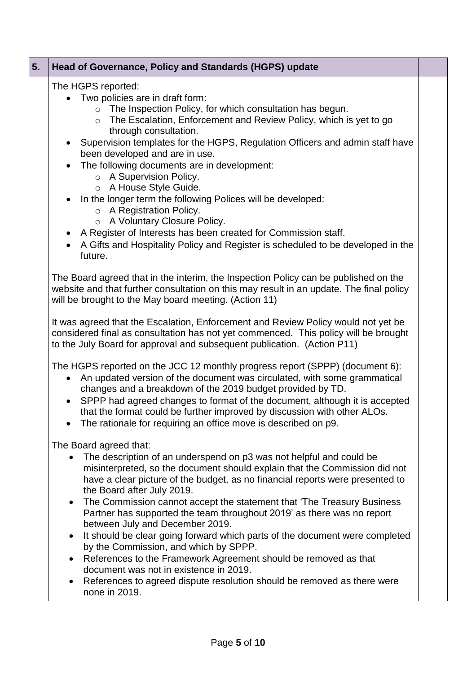| 5. | Head of Governance, Policy and Standards (HGPS) update                                                                                                                                                                                                                                                                                                                                                                                                                                                                                                                                                                                                                                                                                                     |  |
|----|------------------------------------------------------------------------------------------------------------------------------------------------------------------------------------------------------------------------------------------------------------------------------------------------------------------------------------------------------------------------------------------------------------------------------------------------------------------------------------------------------------------------------------------------------------------------------------------------------------------------------------------------------------------------------------------------------------------------------------------------------------|--|
|    | The HGPS reported:<br>• Two policies are in draft form:<br>The Inspection Policy, for which consultation has begun.<br>The Escalation, Enforcement and Review Policy, which is yet to go<br>$\circ$<br>through consultation.<br>Supervision templates for the HGPS, Regulation Officers and admin staff have<br>been developed and are in use.<br>The following documents are in development:<br>$\circ$ A Supervision Policy.<br>O A House Style Guide.<br>In the longer term the following Polices will be developed:<br>$\circ$ A Registration Policy.<br>o A Voluntary Closure Policy.<br>A Register of Interests has been created for Commission staff.<br>A Gifts and Hospitality Policy and Register is scheduled to be developed in the<br>future. |  |
|    | The Board agreed that in the interim, the Inspection Policy can be published on the<br>website and that further consultation on this may result in an update. The final policy<br>will be brought to the May board meeting. (Action 11)                                                                                                                                                                                                                                                                                                                                                                                                                                                                                                                    |  |
|    | It was agreed that the Escalation, Enforcement and Review Policy would not yet be<br>considered final as consultation has not yet commenced. This policy will be brought<br>to the July Board for approval and subsequent publication. (Action P11)                                                                                                                                                                                                                                                                                                                                                                                                                                                                                                        |  |
|    | The HGPS reported on the JCC 12 monthly progress report (SPPP) (document 6):<br>An updated version of the document was circulated, with some grammatical<br>changes and a breakdown of the 2019 budget provided by TD.<br>SPPP had agreed changes to format of the document, although it is accepted<br>that the format could be further improved by discussion with other ALOs.<br>The rationale for requiring an office move is described on p9.                                                                                                                                                                                                                                                                                                         |  |
|    | The Board agreed that:<br>The description of an underspend on p3 was not helpful and could be<br>misinterpreted, so the document should explain that the Commission did not<br>have a clear picture of the budget, as no financial reports were presented to<br>the Board after July 2019.<br>The Commission cannot accept the statement that 'The Treasury Business<br>$\bullet$<br>Partner has supported the team throughout 2019' as there was no report<br>between July and December 2019.<br>It should be clear going forward which parts of the document were completed<br>by the Commission, and which by SPPP.                                                                                                                                     |  |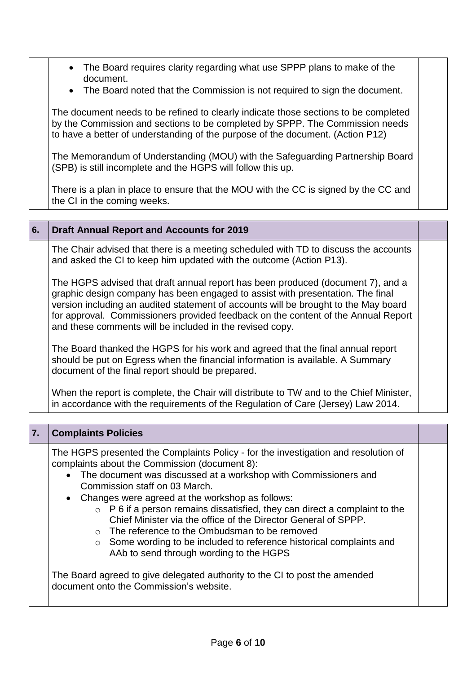- The Board requires clarity regarding what use SPPP plans to make of the document.
- The Board noted that the Commission is not required to sign the document.

The document needs to be refined to clearly indicate those sections to be completed by the Commission and sections to be completed by SPPP. The Commission needs to have a better of understanding of the purpose of the document. (Action P12)

The Memorandum of Understanding (MOU) with the Safeguarding Partnership Board (SPB) is still incomplete and the HGPS will follow this up.

There is a plan in place to ensure that the MOU with the CC is signed by the CC and the CI in the coming weeks.

#### **6. Draft Annual Report and Accounts for 2019**

The Chair advised that there is a meeting scheduled with TD to discuss the accounts and asked the CI to keep him updated with the outcome (Action P13).

The HGPS advised that draft annual report has been produced (document 7), and a graphic design company has been engaged to assist with presentation. The final version including an audited statement of accounts will be brought to the May board for approval. Commissioners provided feedback on the content of the Annual Report and these comments will be included in the revised copy.

The Board thanked the HGPS for his work and agreed that the final annual report should be put on Egress when the financial information is available. A Summary document of the final report should be prepared.

When the report is complete, the Chair will distribute to TW and to the Chief Minister, in accordance with the requirements of the Regulation of Care (Jersey) Law 2014.

| 7. | <b>Complaints Policies</b>                                                                                                                                                                                                                                                                                                                                                                                                                                                                                                                                                                                                                                                                                                                               |  |
|----|----------------------------------------------------------------------------------------------------------------------------------------------------------------------------------------------------------------------------------------------------------------------------------------------------------------------------------------------------------------------------------------------------------------------------------------------------------------------------------------------------------------------------------------------------------------------------------------------------------------------------------------------------------------------------------------------------------------------------------------------------------|--|
|    | The HGPS presented the Complaints Policy - for the investigation and resolution of<br>complaints about the Commission (document 8):<br>• The document was discussed at a workshop with Commissioners and<br>Commission staff on 03 March.<br>• Changes were agreed at the workshop as follows:<br>$\circ$ P 6 if a person remains dissatisfied, they can direct a complaint to the<br>Chief Minister via the office of the Director General of SPPP.<br>$\circ$ The reference to the Ombudsman to be removed<br>○ Some wording to be included to reference historical complaints and<br>AAb to send through wording to the HGPS<br>The Board agreed to give delegated authority to the CI to post the amended<br>document onto the Commission's website. |  |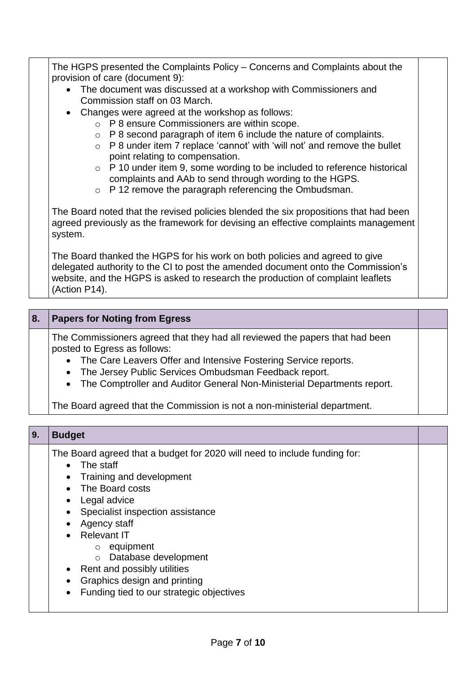The HGPS presented the Complaints Policy – Concerns and Complaints about the provision of care (document 9):

- The document was discussed at a workshop with Commissioners and Commission staff on 03 March.
- Changes were agreed at the workshop as follows:
	- o P 8 ensure Commissioners are within scope.
	- $\circ$  P 8 second paragraph of item 6 include the nature of complaints.
	- o P 8 under item 7 replace 'cannot' with 'will not' and remove the bullet point relating to compensation.
	- o P 10 under item 9, some wording to be included to reference historical complaints and AAb to send through wording to the HGPS.
	- o P 12 remove the paragraph referencing the Ombudsman.

The Board noted that the revised policies blended the six propositions that had been agreed previously as the framework for devising an effective complaints management system.

The Board thanked the HGPS for his work on both policies and agreed to give delegated authority to the CI to post the amended document onto the Commission's website, and the HGPS is asked to research the production of complaint leaflets (Action P14).

### **8. Papers for Noting from Egress**

The Commissioners agreed that they had all reviewed the papers that had been posted to Egress as follows:

- The Care Leavers Offer and Intensive Fostering Service reports.
- The Jersey Public Services Ombudsman Feedback report.
- The Comptroller and Auditor General Non-Ministerial Departments report.

The Board agreed that the Commission is not a non-ministerial department.

| 9. | <b>Budget</b>                                                                                                                                                                                                                                                                                                                                                                                                                                                                  |  |
|----|--------------------------------------------------------------------------------------------------------------------------------------------------------------------------------------------------------------------------------------------------------------------------------------------------------------------------------------------------------------------------------------------------------------------------------------------------------------------------------|--|
|    | The Board agreed that a budget for 2020 will need to include funding for:<br>$\bullet$ The staff<br>Training and development<br>$\bullet$<br>• The Board costs<br>• Legal advice<br>Specialist inspection assistance<br>$\bullet$<br>Agency staff<br>$\bullet$<br>• Relevant IT<br>$\circ$ equipment<br>Database development<br>$\circ$<br>• Rent and possibly utilities<br>Graphics design and printing<br>$\bullet$<br>Funding tied to our strategic objectives<br>$\bullet$ |  |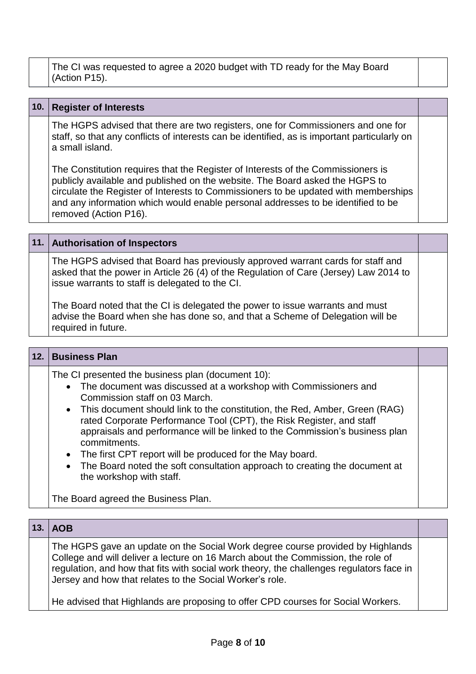The CI was requested to agree a 2020 budget with TD ready for the May Board (Action P15).

#### **10. Register of Interests**

The HGPS advised that there are two registers, one for Commissioners and one for staff, so that any conflicts of interests can be identified, as is important particularly on a small island.

The Constitution requires that the Register of Interests of the Commissioners is publicly available and published on the website. The Board asked the HGPS to circulate the Register of Interests to Commissioners to be updated with memberships and any information which would enable personal addresses to be identified to be removed (Action P16).

#### **11. Authorisation of Inspectors**

The HGPS advised that Board has previously approved warrant cards for staff and asked that the power in Article 26 (4) of the Regulation of Care (Jersey) Law 2014 to issue warrants to staff is delegated to the CI.

The Board noted that the CI is delegated the power to issue warrants and must advise the Board when she has done so, and that a Scheme of Delegation will be required in future.

| 12. | <b>Business Plan</b>                                                                                                                                                                                                                                                                                                                                                                                                                                                                                                                                                                     |  |
|-----|------------------------------------------------------------------------------------------------------------------------------------------------------------------------------------------------------------------------------------------------------------------------------------------------------------------------------------------------------------------------------------------------------------------------------------------------------------------------------------------------------------------------------------------------------------------------------------------|--|
|     | The CI presented the business plan (document 10):<br>• The document was discussed at a workshop with Commissioners and<br>Commission staff on 03 March.<br>• This document should link to the constitution, the Red, Amber, Green (RAG)<br>rated Corporate Performance Tool (CPT), the Risk Register, and staff<br>appraisals and performance will be linked to the Commission's business plan<br>commitments.<br>• The first CPT report will be produced for the May board.<br>• The Board noted the soft consultation approach to creating the document at<br>the workshop with staff. |  |
|     | The Board agreed the Business Plan.                                                                                                                                                                                                                                                                                                                                                                                                                                                                                                                                                      |  |

| 13. | <b>AOB</b>                                                                                                                                                                                                                                                                                                                 |  |
|-----|----------------------------------------------------------------------------------------------------------------------------------------------------------------------------------------------------------------------------------------------------------------------------------------------------------------------------|--|
|     | The HGPS gave an update on the Social Work degree course provided by Highlands<br>College and will deliver a lecture on 16 March about the Commission, the role of<br>regulation, and how that fits with social work theory, the challenges regulators face in<br>Jersey and how that relates to the Social Worker's role. |  |
|     | The realistical third Halden dependence on the first office ODD recovered from Original Martin and                                                                                                                                                                                                                         |  |

He advised that Highlands are proposing to offer CPD courses for Social Workers.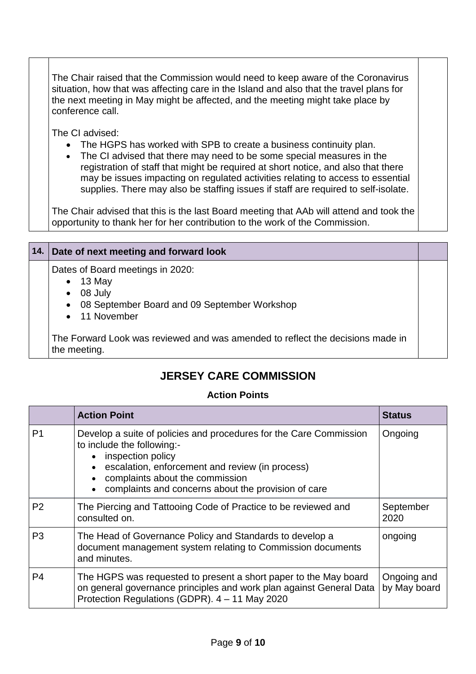The Chair raised that the Commission would need to keep aware of the Coronavirus situation, how that was affecting care in the Island and also that the travel plans for the next meeting in May might be affected, and the meeting might take place by conference call.

The CI advised:

- The HGPS has worked with SPB to create a business continuity plan.
- The CI advised that there may need to be some special measures in the registration of staff that might be required at short notice, and also that there may be issues impacting on regulated activities relating to access to essential supplies. There may also be staffing issues if staff are required to self-isolate.

The Chair advised that this is the last Board meeting that AAb will attend and took the opportunity to thank her for her contribution to the work of the Commission.

| 14. Date of next meeting and forward look                                                                                                       |  |
|-------------------------------------------------------------------------------------------------------------------------------------------------|--|
| Dates of Board meetings in 2020:<br>$\bullet$ 13 May<br>08 July<br>$\bullet$<br>• 08 September Board and 09 September Workshop<br>• 11 November |  |
| The Forward Look was reviewed and was amended to reflect the decisions made in<br>the meeting.                                                  |  |

## **JERSEY CARE COMMISSION**

#### **Action Points**

|                | <b>Action Point</b>                                                                                                                                                                                                                                                | <b>Status</b>               |
|----------------|--------------------------------------------------------------------------------------------------------------------------------------------------------------------------------------------------------------------------------------------------------------------|-----------------------------|
| P <sub>1</sub> | Develop a suite of policies and procedures for the Care Commission<br>to include the following:-<br>inspection policy<br>escalation, enforcement and review (in process)<br>complaints about the commission<br>complaints and concerns about the provision of care | Ongoing                     |
| P <sub>2</sub> | The Piercing and Tattooing Code of Practice to be reviewed and<br>consulted on.                                                                                                                                                                                    | September<br>2020           |
| P <sub>3</sub> | The Head of Governance Policy and Standards to develop a<br>document management system relating to Commission documents<br>and minutes.                                                                                                                            | ongoing                     |
| P <sub>4</sub> | The HGPS was requested to present a short paper to the May board<br>on general governance principles and work plan against General Data<br>Protection Regulations (GDPR). 4 - 11 May 2020                                                                          | Ongoing and<br>by May board |